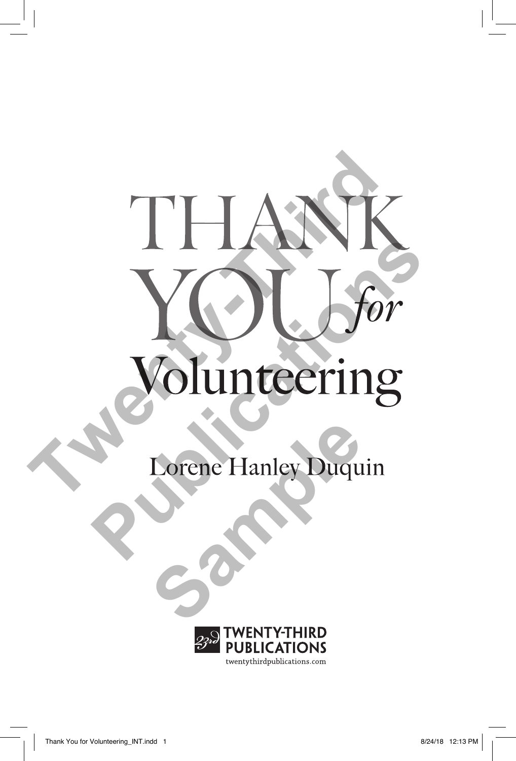

**Lorene Hanley Duquin** 

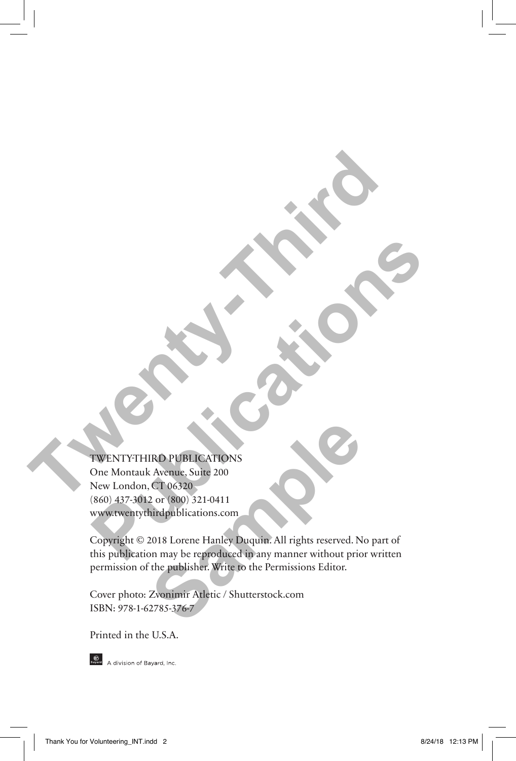### TWENTY-THIRD PUBLICATIONS

One Montauk Avenue, Suite 200 New London, CT 06320 (860) 437-3012 or (800) 321-0411 www.twentythirdpublications.com **TWENTY-THIRD PUBLICATION** 

Copyright © 2018 Lorene Hanley Duquin. All rights reserved. No part of this publication may be reproduced in any manner without prior written permission of the publisher. Write to the Permissions Editor. **PUBLICATIONS**<br>
TWENTY-THIRD PUBLICATIONS<br>
One Montal Avenue, Suite 200<br>
New London, Ci 06320<br>
(860) 437-3012 or (800) 321-0411<br>
Www.twen.gr.thrighablications.com<br>
Copyright © 2018 Lorene Hanley Duquin. All rights reserved **Sample PUBLICATIONS**<br>
Sample, Suite 200<br>
CT 06320<br>
2 or (800) 321-0411<br>
Airdpublications.com<br>
2018 Lorene Hanley Duquin. All rights reserved. N<br>
2018 Lorene Hanley Duquin. All rights reserved. N<br>
2018 Lorene Hanley Duquin

Cover photo: Zvonimir Atletic / Shutterstock.com ISBN: 978-1-62785-376-7

Printed in the U.S.A.



Boyard A division of Bayard, Inc.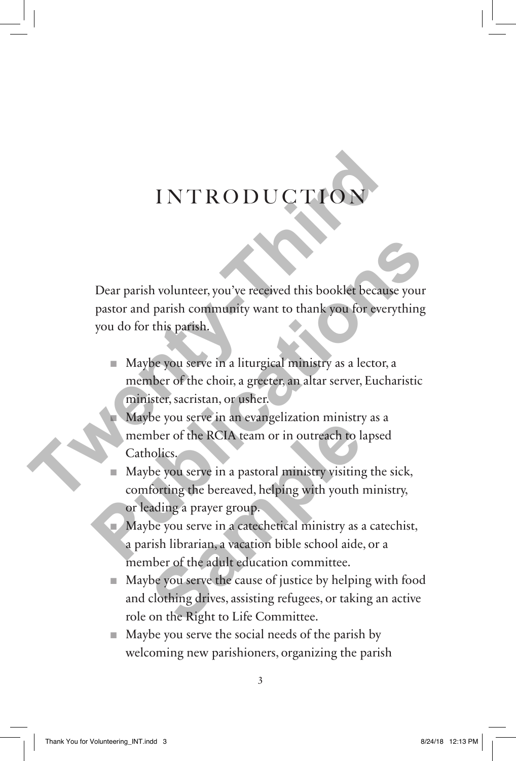## **INTRODUCTION**

Dear parish volunteer, you've received this booklet because your pastor and parish community want to thank you for everything you do for this parish. **TWENT INT INT INT INTERED INTERFERENCES**<br>
Dear parish volunteer, you've received this booklet because<br>
pastor and parish community want to thank you for every<br>
you do for this parish.<br>
Maybe you serve in a liturgical mini **Publication State of the State of the State State of the State State of the State State of the State State of the State State of the choic, a greeter, an altar server, Eucharistic minister, sacristan, or usher.<br>
<b>Example** 

- Maybe you serve in a liturgical ministry as a lector, a member of the choir, a greeter, an altar server, Eucharistic minister, sacristan, or usher.
	- Maybe you serve in an evangelization ministry as a member of the RCIA team or in outreach to lapsed Catholics.

Maybe you serve in a pastoral ministry visiting the sick, comforting the bereaved, helping with youth ministry, or leading a prayer group.

- Maybe you serve in a catechetical ministry as a catechist, a parish librarian, a vacation bible school aide, or a member of the adult education committee. be you serve in an evangemeation infinity<br>nber of the RCIA team or in outreach to la<br>nolics.<br>be you serve in a pastoral ministry visiting<br>forting the bereaved, helping with youth a<br>ading a prayer group.<br>be you serve in a c
- Maybe you serve the cause of justice by helping with food and clothing drives, assisting refugees, or taking an active role on the Right to Life Committee.
- Maybe you serve the social needs of the parish by welcoming new parishioners, organizing the parish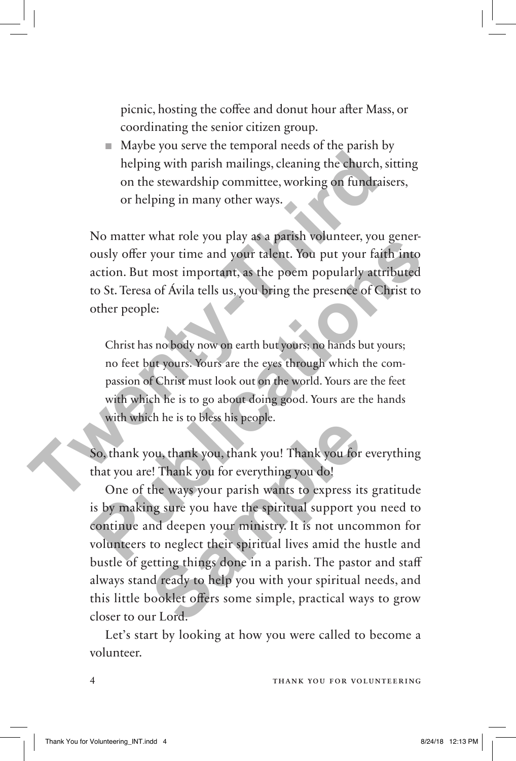picnic, hosting the coffee and donut hour after Mass, or coordinating the senior citizen group.

■ Maybe you serve the temporal needs of the parish by helping with parish mailings, cleaning the church, sitting on the stewardship committee, working on fundraisers, or helping in many other ways.

No matter what role you play as a parish volunteer, you generously offer your time and your talent. You put your faith into action. But most important, as the poem popularly attributed to St. Teresa of Ávila tells us, you bring the presence of Christ to other people: The prioride to the state of the ways of the charge of the charge of the bare of the state of helping in many other ways.<br>
No matter what role you play as a parish volunteer, you gously offer your time and your talent. You **Publication** What is the positive of the spiritual support you and the spiritual surface.<br> **Public Start Start Start Start Start Start Start Start Start Start Start Start Start Start Start Start Start Start Start Start St** 

Christ has no body now on earth but yours; no hands but yours; no feet but yours. Yours are the eyes through which the compassion of Christ must look out on the world. Yours are the feet with which he is to go about doing good. Yours are the hands with which he is to bless his people.

So, thank you, thank you, thank you! Thank you for everything that you are! Thank you for everything you do!

One of the ways your parish wants to express its gratitude is by making sure you have the spiritual support you need to continue and deepen your ministry. It is not uncommon for volunteers to neglect their spiritual lives amid the hustle and bustle of getting things done in a parish. The pastor and staff always stand ready to help you with your spiritual needs, and this little booklet offers some simple, practical ways to grow closer to our Lord. ou, thank you, thank you! Thank you for<br>e! Thank you, thank you! Thank you for<br>e! Thank you for everything you do!<br>the ways your parish wants to express it<br>ng sure you have the spiritual support you<br>nd deepen your ministry

Let's start by looking at how you were called to become a volunteer.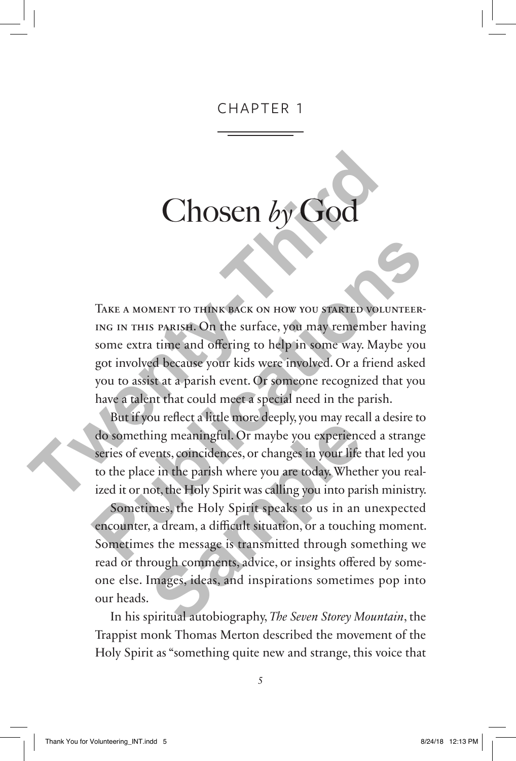#### CHAPTER 1

# Chosen  $b<sub>y</sub>$

Take a moment to think back on how you started volunteering in this parish. On the surface, you may remember having some extra time and offering to help in some way. Maybe you got involved because your kids were involved. Or a friend asked you to assist at a parish event. Or someone recognized that you have a talent that could meet a special need in the parish. **Chosen by God**<br>
TAKE A MOMENT TO THINK BACK ON HOW YOU STATED VOLUS<br>
ING IN THIS PARISE. On the surface, you may remember h<br>
some extra time and offering to help in some way. Maybe<br>
got involved because your hids were imp TAKE A MOMENT TO THINK BACK ON HOW YOU STATED VOLUNTEERING IN THIS PARISE. On the surface, you may remember having some extra time and offering to help in some way. Maybe you got involved because your kids were involved. O

But if you reflect a little more deeply, you may recall a desire to do something meaningful. Or maybe you experienced a strange series of events, coincidences, or changes in your life that led you to the place in the parish where you are today. Whether you realized it or not, the Holy Spirit was calling you into parish ministry.

Sometimes, the Holy Spirit speaks to us in an unexpected encounter, a dream, a difficult situation, or a touching moment. Sometimes the message is transmitted through something we read or through comments, advice, or insights offered by someone else. Images, ideas, and inspirations sometimes pop into our heads. of tenetral fitter those deepty, you may recating meaningful. Or maybe you experiencents, coincidences, or changes in your life e in the parish where you are today. Whethot, the Holy Spirit was calling you into par mes, th

In his spiritual autobiography, *The Seven Storey Mountain*, the Trappist monk Thomas Merton described the movement of the Holy Spirit as "something quite new and strange, this voice that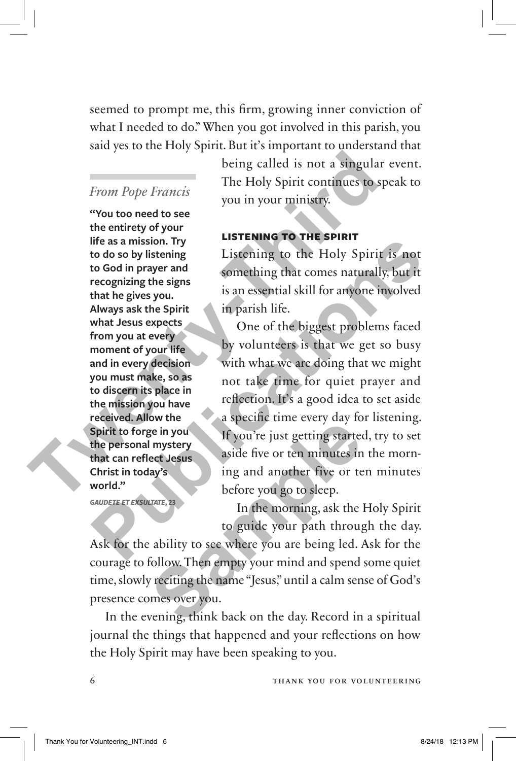seemed to prompt me, this firm, growing inner conviction of what I needed to do." When you got involved in this parish, you said yes to the Holy Spirit. But it's important to understand that

#### *From Pope Francis*

**"You too need to see the entirety of your life as a mission. Try to do so by listening to God in prayer and recognizing the signs that he gives you. Always ask the Spirit what Jesus expects from you at every moment of your life and in every decision you must make, so as to discern its place in the mission you have received. Allow the Spirit to forge in you the personal mystery that can reflect Jesus Christ in today's world."**

*GAUDETE ET EXSULTATE***, 23**

being called is not a singular event. The Holy Spirit continues to speak to you in your ministry.

#### **Listening to the Spirit**

Listening to the Holy Spirit is not something that comes naturally, but it is an essential skill for anyone involved in parish life.

One of the biggest problems faced by volunteers is that we get so busy with what we are doing that we might not take time for quiet prayer and reflection. It's a good idea to set aside a specific time every day for listening. If you're just getting started, try to set aside five or ten minutes in the morning and another five or ten minutes before you go to sleep. From Pope Francis<br>
The Holy Spirit continues to spectral<br>
evolution ened to see<br>
the entirety of your in your ministry.<br> **The Holy Spirit continues to spectral**<br> **The Holy Spirit is to Go to by listening**<br> **The as a missio** From the same of the same of the same of the same of the same of the same of the same of the same of the same of the same of the same of the same of the same of the same of the same of the same of the same of the same of t

In the morning, ask the Holy Spirit to guide your path through the day.

Ask for the ability to see where you are being led. Ask for the courage to follow. Then empty your mind and spend some quiet time, slowly reciting the name "Jesus," until a calm sense of God's presence comes over you. If you're just getting started<br>
I mystery<br>
aside five or ten minutes in<br>
lay's<br>
sing and another five or te<br>
before you go to sleep.<br>
In the morning, ask the lot of guide your path through<br>
to guide your path through the m

In the evening, think back on the day. Record in a spiritual journal the things that happened and your reflections on how the Holy Spirit may have been speaking to you.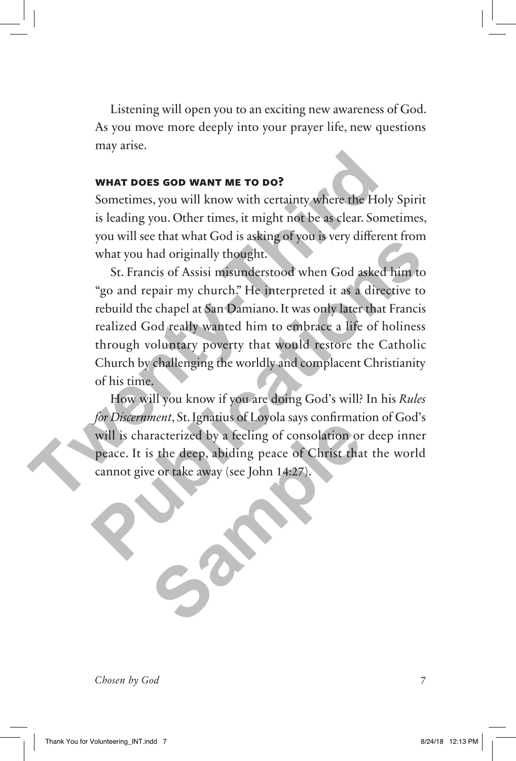Listening will open you to an exciting new awareness of God. As you move more deeply into your prayer life, new questions may arise.

#### **What Does God Want Me to Do?**

Sometimes, you will know with certainty where the Holy Spirit is leading you. Other times, it might not be as clear. Sometimes, you will see that what God is asking of you is very different from what you had originally thought.

St. Francis of Assisi misunderstood when God asked him to "go and repair my church." He interpreted it as a directive to rebuild the chapel at San Damiano. It was only later that Francis realized God really wanted him to embrace a life of holiness through voluntary poverty that would restore the Catholic Church by challenging the worldly and complacent Christianity of his time. **Twenty-Third**  Francis of Assistinger you by the statement home what you had originally thought.<br>
St. Francis of Assisi misunderstood when God asked him to "go and repair my church." He interpreted it as a directive to rebuild the chapel

How will you know if you are doing God's will? In his *Rules for Discernment*, St. Ignatius of Loyola says confirmation of God's will is characterized by a feeling of consolation or deep inner peace. It is the deep, abiding peace of Christ that the world cannot give or take away (see John 14:27). Tracterized by a feeling of consolation or<br>s the deep, abiding peace of Christ tha

*Chosen by God* 7